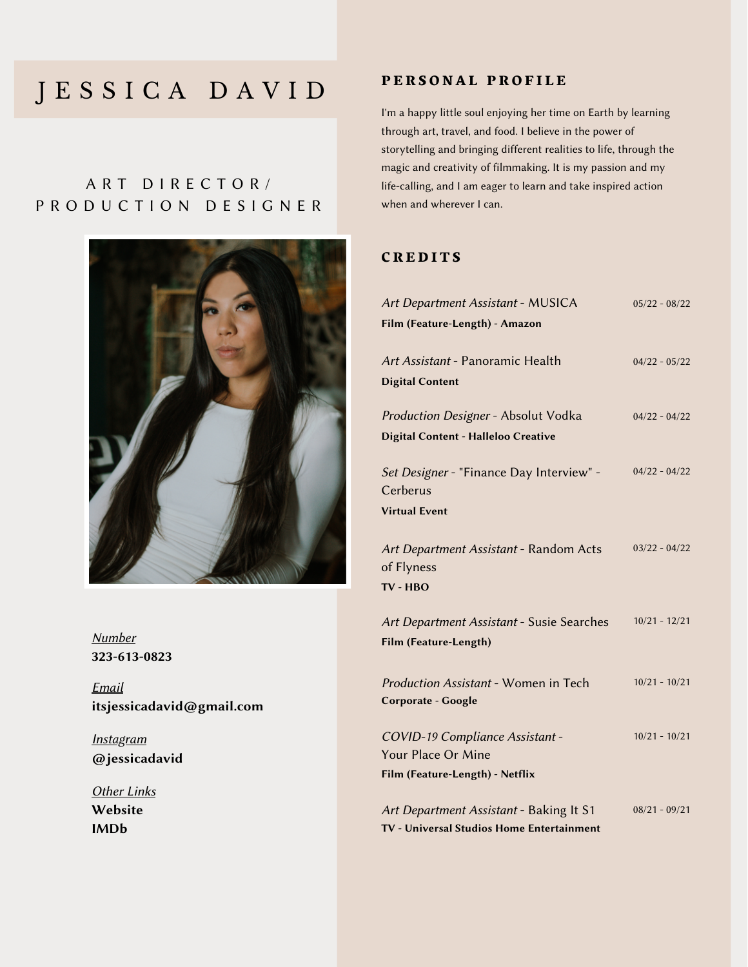## J E S S I C A D A V I D

## A R T D I R E C T O R / P R O D U C T I O N D E S I G N E R



323-613-0823 Number

Email itsjessicadavid@gmail.com

**Instagram** @jessicadavid

**Other Links** [Website](https://www.jessica-david.com/) [IMDb](https://www.imdb.com/name/nm7537820/)

#### PERSONAL PROFILE

I'm a happy little soul enjoying her time on Earth by learning through art, travel, and food. I believe in the power of storytelling and bringing different realities to life, through the magic and creativity of filmmaking. It is my passion and my life-calling, and I am eager to learn and take inspired action when and wherever I can.

#### **CREDITS**

| Art Department Assistant - MUSICA          | $05/22 - 08/22$ |
|--------------------------------------------|-----------------|
| Film (Feature-Length) - Amazon             |                 |
|                                            |                 |
| Art Assistant - Panoramic Health           | $04/22 - 05/22$ |
| <b>Digital Content</b>                     |                 |
| Production Designer - Absolut Vodka        | $04/22 - 04/22$ |
| <b>Digital Content - Halleloo Creative</b> |                 |
|                                            |                 |
| Set Designer - "Finance Day Interview" -   | $04/22 - 04/22$ |
| Cerberus                                   |                 |
| <b>Virtual Event</b>                       |                 |
|                                            |                 |
| Art Department Assistant - Random Acts     | $03/22 - 04/22$ |
| of Flyness                                 |                 |
| TV - HBO                                   |                 |
|                                            |                 |
| Art Department Assistant - Susie Searches  | $10/21 - 12/21$ |
| Film (Feature-Length)                      |                 |
|                                            |                 |
| Production Assistant - Women in Tech       | $10/21 - 10/21$ |
| Corporate - Google                         |                 |
| COVID-19 Compliance Assistant -            | $10/21 - 10/21$ |
| Your Place Or Mine                         |                 |
| Film (Feature-Length) - Netflix            |                 |
|                                            |                 |
| Art Department Assistant - Baking It S1    | $08/21 - 09/21$ |
| TV - Universal Studios Home Entertainment  |                 |